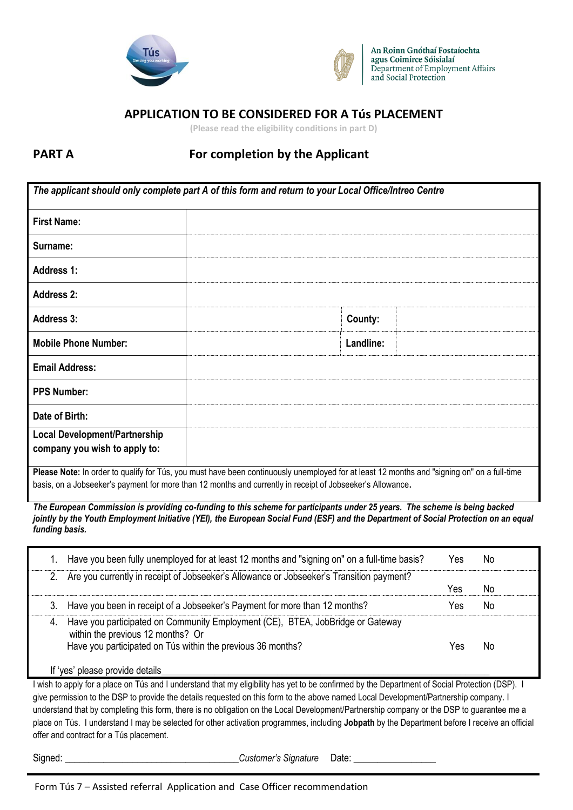



An Roinn Gnóthaí Fostaíochta agus Coimirce Sóisialaí Department of Employment Affairs and Social Protection

# **APPLICATION TO BE CONSIDERED FOR A Tús PLACEMENT**

**(Please read the eligibility conditions in part D)**

# **PART A** For completion by the Applicant

| The applicant should only complete part A of this form and return to your Local Office/Intreo Centre       |                                                                                                                                             |
|------------------------------------------------------------------------------------------------------------|---------------------------------------------------------------------------------------------------------------------------------------------|
| <b>First Name:</b>                                                                                         |                                                                                                                                             |
| Surname:                                                                                                   |                                                                                                                                             |
| <b>Address 1:</b>                                                                                          |                                                                                                                                             |
| <b>Address 2:</b>                                                                                          |                                                                                                                                             |
| <b>Address 3:</b>                                                                                          | County:                                                                                                                                     |
| <b>Mobile Phone Number:</b>                                                                                | Landline:                                                                                                                                   |
| <b>Email Address:</b>                                                                                      |                                                                                                                                             |
| <b>PPS Number:</b>                                                                                         |                                                                                                                                             |
| Date of Birth:                                                                                             |                                                                                                                                             |
| <b>Local Development/Partnership</b>                                                                       |                                                                                                                                             |
| company you wish to apply to:                                                                              |                                                                                                                                             |
|                                                                                                            | Please Note: In order to qualify for Tús, you must have been continuously unemployed for at least 12 months and "signing on" on a full-time |
| basis, on a Jobseeker's payment for more than 12 months and currently in receipt of Jobseeker's Allowance. |                                                                                                                                             |

*The European Commission is providing co-funding to this scheme for participants under 25 years. The scheme is being backed jointly by the Youth Employment Initiative (YEI), the European Social Fund (ESF) and the Department of Social Protection on an equal funding basis.*

|    | Have you been fully unemployed for at least 12 months and "signing on" on a full-time basis?                                                                                       | Yes | No. |  |
|----|------------------------------------------------------------------------------------------------------------------------------------------------------------------------------------|-----|-----|--|
| 2. | Are you currently in receipt of Jobseeker's Allowance or Jobseeker's Transition payment?                                                                                           | Yes | No  |  |
| 3. | Have you been in receipt of a Jobseeker's Payment for more than 12 months?                                                                                                         | Yes | No. |  |
| 4. | Have you participated on Community Employment (CE), BTEA, JobBridge or Gateway<br>within the previous 12 months? Or<br>Have you participated on Tús within the previous 36 months? | Yes | No. |  |
|    | 'yes' please provide details                                                                                                                                                       |     |     |  |

I wish to apply for a place on Tús and I understand that my eligibility has yet to be confirmed by the Department of Social Protection (DSP). I give permission to the DSP to provide the details requested on this form to the above named Local Development/Partnership company. I understand that by completing this form, there is no obligation on the Local Development/Partnership company or the DSP to guarantee me a place on Tús. I understand I may be selected for other activation programmes, including **Jobpath** by the Department before I receive an official offer and contract for a Tús placement.

Signed: \_\_\_\_\_\_\_\_\_\_\_\_\_\_\_\_\_\_\_\_\_\_\_\_\_\_\_\_\_\_\_\_\_\_\_\_*Customer's Signature* Date: \_\_\_\_\_\_\_\_\_\_\_\_\_\_\_\_\_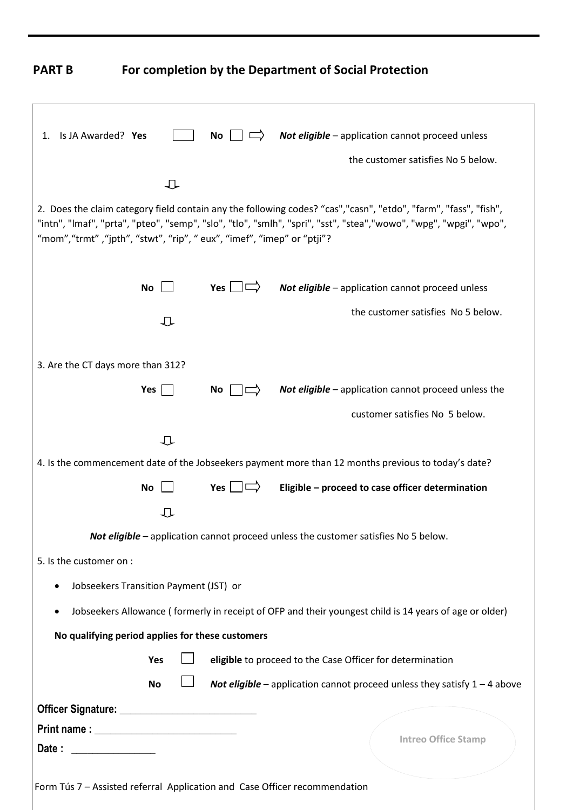**PART B For completion by the Department of Social Protection**

| Is JA Awarded? Yes<br>1.                                                                                                                                                                                                             |                                        | No                     | Not eligible - application cannot proceed unless                                                                                                                                                                                     |
|--------------------------------------------------------------------------------------------------------------------------------------------------------------------------------------------------------------------------------------|----------------------------------------|------------------------|--------------------------------------------------------------------------------------------------------------------------------------------------------------------------------------------------------------------------------------|
|                                                                                                                                                                                                                                      |                                        |                        | the customer satisfies No 5 below.                                                                                                                                                                                                   |
|                                                                                                                                                                                                                                      | ∪                                      |                        |                                                                                                                                                                                                                                      |
| "mom","trmt","jpth", "stwt", "rip", " eux", "imef", "imep" or "ptji"?                                                                                                                                                                |                                        |                        | 2. Does the claim category field contain any the following codes? "cas","casn", "etdo", "farm", "fass", "fish",<br>"intn", "Imaf", "prta", "pteo", "semp", "slo", "tlo", "smlh", "spri", "sst", "stea","wowo", "wpg", "wpgi", "wpo", |
|                                                                                                                                                                                                                                      | <b>No</b>                              | Yes $\Box \Rightarrow$ | Not eligible - application cannot proceed unless                                                                                                                                                                                     |
|                                                                                                                                                                                                                                      | ⇩                                      |                        | the customer satisfies No 5 below.                                                                                                                                                                                                   |
| 3. Are the CT days more than 312?                                                                                                                                                                                                    |                                        |                        |                                                                                                                                                                                                                                      |
|                                                                                                                                                                                                                                      | Yes                                    | No                     | Not eligible - application cannot proceed unless the                                                                                                                                                                                 |
|                                                                                                                                                                                                                                      |                                        |                        | customer satisfies No 5 below.                                                                                                                                                                                                       |
|                                                                                                                                                                                                                                      | ⇩                                      |                        |                                                                                                                                                                                                                                      |
|                                                                                                                                                                                                                                      |                                        |                        | 4. Is the commencement date of the Jobseekers payment more than 12 months previous to today's date?                                                                                                                                  |
|                                                                                                                                                                                                                                      | <b>No</b>                              | Yes $ $ $ $            | Eligible - proceed to case officer determination                                                                                                                                                                                     |
|                                                                                                                                                                                                                                      | ∪                                      |                        |                                                                                                                                                                                                                                      |
|                                                                                                                                                                                                                                      |                                        |                        | Not eligible - application cannot proceed unless the customer satisfies No 5 below.                                                                                                                                                  |
| 5. Is the customer on :                                                                                                                                                                                                              |                                        |                        |                                                                                                                                                                                                                                      |
| ٠                                                                                                                                                                                                                                    | Jobseekers Transition Payment (JST) or |                        |                                                                                                                                                                                                                                      |
| $\bullet$                                                                                                                                                                                                                            |                                        |                        | Jobseekers Allowance (formerly in receipt of OFP and their youngest child is 14 years of age or older)                                                                                                                               |
| No qualifying period applies for these customers                                                                                                                                                                                     |                                        |                        |                                                                                                                                                                                                                                      |
|                                                                                                                                                                                                                                      | Yes                                    |                        | eligible to proceed to the Case Officer for determination                                                                                                                                                                            |
|                                                                                                                                                                                                                                      | <b>No</b>                              |                        | Not eligible – application cannot proceed unless they satisfy $1 - 4$ above                                                                                                                                                          |
|                                                                                                                                                                                                                                      |                                        |                        |                                                                                                                                                                                                                                      |
| Officer Signature: <u>contract and the set of the set of the set of the set of the set of the set of the set of the set of the set of the set of the set of the set of the set of the set of the set of the set of the set of th</u> |                                        |                        |                                                                                                                                                                                                                                      |
|                                                                                                                                                                                                                                      |                                        |                        | <b>Intreo Office Stamp</b>                                                                                                                                                                                                           |
| Date: _______________                                                                                                                                                                                                                |                                        |                        |                                                                                                                                                                                                                                      |
| Form Tús 7 - Assisted referral Application and Case Officer recommendation                                                                                                                                                           |                                        |                        |                                                                                                                                                                                                                                      |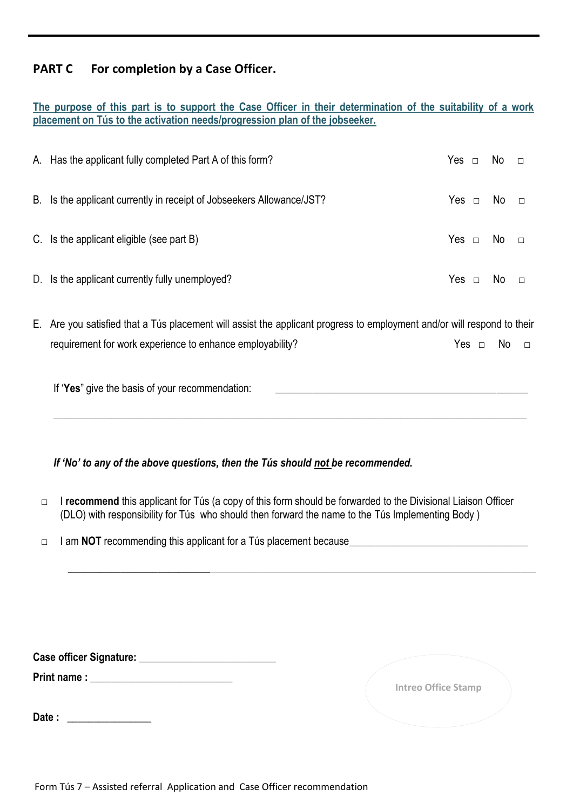# **PART C For completion by a Case Officer.**

|  |  |  |  |  | The purpose of this part is to support the Case Officer in their determination of the suitability of a work |  |  |  |
|--|--|--|--|--|-------------------------------------------------------------------------------------------------------------|--|--|--|
|  |  |  |  |  | placement on Tus to the activation needs/progression plan of the jobseeker.                                 |  |  |  |

| A. Has the applicant fully completed Part A of this form?             |  | $Yes \;\; \square \;\; \; No \;\; \; \square$ |        |
|-----------------------------------------------------------------------|--|-----------------------------------------------|--------|
| B. Is the applicant currently in receipt of Jobseekers Allowance/JST? |  | Yes $\Box$ No $\Box$                          |        |
| C. Is the applicant eligible (see part B)                             |  | Yes $\Box$ No $\Box$                          |        |
| D. Is the applicant currently fully unemployed?                       |  | No.                                           | $\Box$ |

E. Are you satisfied that a Tús placement will assist the applicant progress to employment and/or will respond to their requirement for work experience to enhance employability? The Ves □ No □

\_\_\_\_\_\_\_\_\_\_\_\_\_\_\_\_\_\_\_\_\_\_\_\_\_\_\_\_\_\_\_\_\_\_\_\_\_\_\_\_\_\_\_\_\_\_\_\_\_\_\_\_\_\_\_\_\_\_\_\_\_\_\_\_\_\_\_\_\_\_\_\_\_\_\_\_\_\_\_\_\_\_\_\_\_\_\_\_\_\_

| If 'Yes" give the basis of your recommendation: |
|-------------------------------------------------|
|-------------------------------------------------|

*If 'No' to any of the above questions, then the Tús should not be recommended.* 

 □ I **recommend** this applicant for Tús (a copy of this form should be forwarded to the Divisional Liaison Officer (DLO) with responsibility for Tús who should then forward the name to the Tús Implementing Body )

 $\_$  , and the set of the set of the set of the set of the set of the set of the set of the set of the set of the set of the set of the set of the set of the set of the set of the set of the set of the set of the set of th

□ I am **NOT** recommending this applicant for a Tús placement because

|  | <b>Case officer Signature:</b> |  |
|--|--------------------------------|--|
|  |                                |  |

**Print name :**  $\blacksquare$ 

Date :

| <b>Intreo Office Stamp</b> |
|----------------------------|
|                            |
| NAMES OF TAXABLE PARTIES.  |